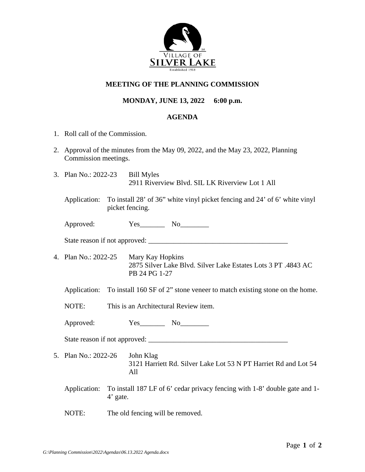

## **MEETING OF THE PLANNING COMMISSION**

## **MONDAY, JUNE 13, 2022 6:00 p.m.**

## **AGENDA**

- 1. Roll call of the Commission.
- 2. Approval of the minutes from the May 09, 2022, and the May 23, 2022, Planning Commission meetings.
- 3. Plan No.: 2022-23 Bill Myles 2911 Riverview Blvd. SIL LK Riverview Lot 1 All
	- Application: To install 28' of 36" white vinyl picket fencing and 24' of 6' white vinyl picket fencing.

Approved:  $Yes$  No

State reason if not approved: \_\_\_\_\_\_\_\_\_\_\_\_\_\_\_\_\_\_\_\_\_\_\_\_\_\_\_\_\_\_\_\_\_\_\_\_\_\_\_

4. Plan No.: 2022-25 Mary Kay Hopkins 2875 Silver Lake Blvd. Silver Lake Estates Lots 3 PT .4843 AC PB 24 PG 1-27

Application: To install 160 SF of 2" stone veneer to match existing stone on the home.

- NOTE: This is an Architectural Review item.
- Approved: Yes\_\_\_\_\_\_\_\_\_ No\_\_\_\_\_\_

State reason if not approved: \_\_\_\_\_\_\_\_\_\_\_\_\_\_\_\_\_\_\_\_\_\_\_\_\_\_\_\_\_\_\_\_\_\_\_\_\_\_\_

5. Plan No.: 2022-26 John Klag 3121 Harriett Rd. Silver Lake Lot 53 N PT Harriet Rd and Lot 54 All

Application: To install 187 LF of 6' cedar privacy fencing with 1-8' double gate and 1- 4' gate.

NOTE: The old fencing will be removed.